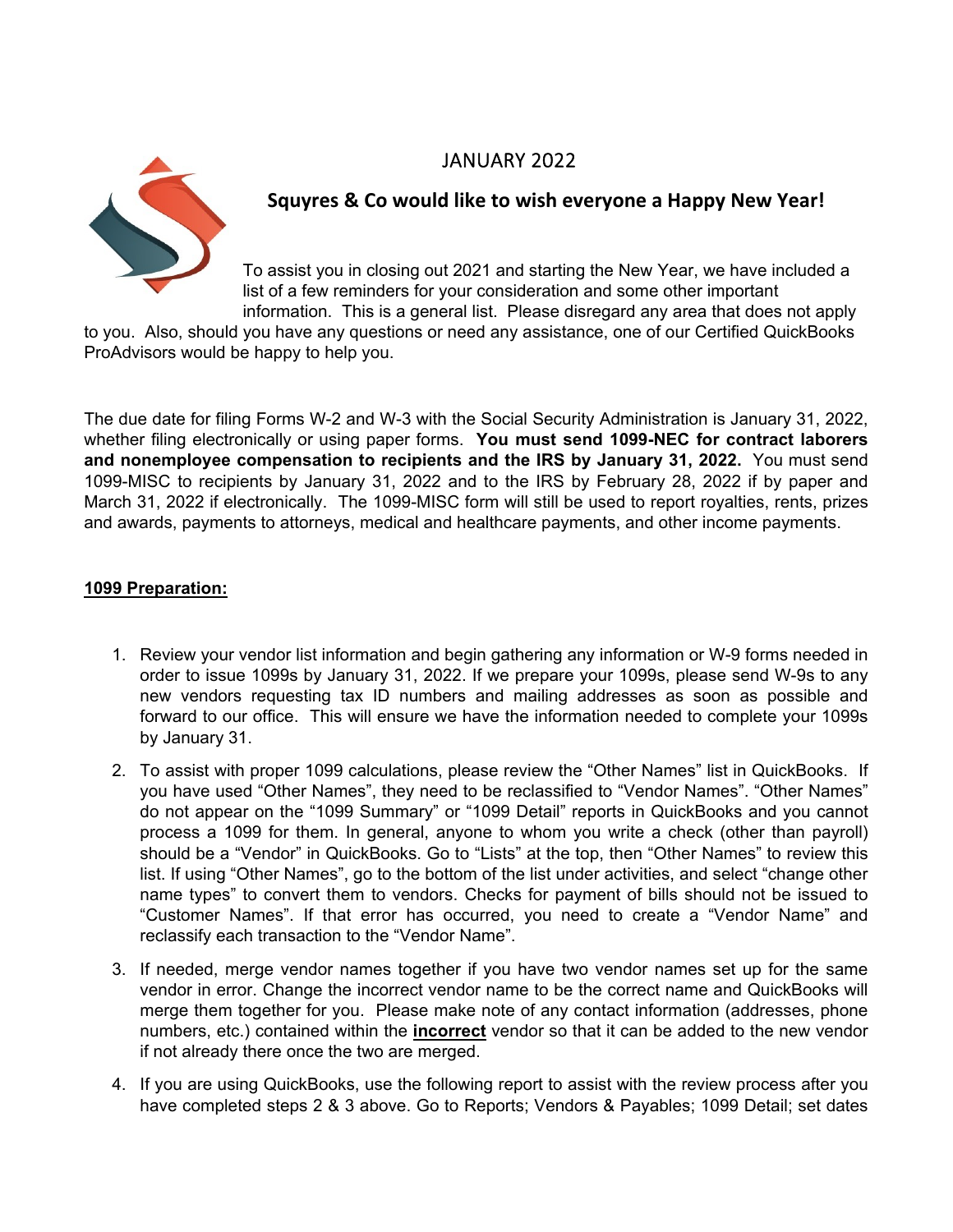# JANUARY 2022



## **Squyres & Co would like to wish everyone a Happy New Year!**

To assist you in closing out 2021 and starting the New Year, we have included a list of a few reminders for your consideration and some other important information. This is a general list. Please disregard any area that does not apply

to you. Also, should you have any questions or need any assistance, one of our Certified QuickBooks ProAdvisors would be happy to help you.

The due date for filing Forms W-2 and W-3 with the Social Security Administration is January 31, 2022, whether filing electronically or using paper forms. **You must send 1099-NEC for contract laborers and nonemployee compensation to recipients and the IRS by January 31, 2022.** You must send 1099-MISC to recipients by January 31, 2022 and to the IRS by February 28, 2022 if by paper and March 31, 2022 if electronically. The 1099-MISC form will still be used to report royalties, rents, prizes and awards, payments to attorneys, medical and healthcare payments, and other income payments.

## **1099 Preparation:**

- 1. Review your vendor list information and begin gathering any information or W-9 forms needed in order to issue 1099s by January 31, 2022. If we prepare your 1099s, please send W-9s to any new vendors requesting tax ID numbers and mailing addresses as soon as possible and forward to our office. This will ensure we have the information needed to complete your 1099s by January 31.
- 2. To assist with proper 1099 calculations, please review the "Other Names" list in QuickBooks. If you have used "Other Names", they need to be reclassified to "Vendor Names". "Other Names" do not appear on the "1099 Summary" or "1099 Detail" reports in QuickBooks and you cannot process a 1099 for them. In general, anyone to whom you write a check (other than payroll) should be a "Vendor" in QuickBooks. Go to "Lists" at the top, then "Other Names" to review this list. If using "Other Names", go to the bottom of the list under activities, and select "change other name types" to convert them to vendors. Checks for payment of bills should not be issued to "Customer Names". If that error has occurred, you need to create a "Vendor Name" and reclassify each transaction to the "Vendor Name".
- 3. If needed, merge vendor names together if you have two vendor names set up for the same vendor in error. Change the incorrect vendor name to be the correct name and QuickBooks will merge them together for you. Please make note of any contact information (addresses, phone numbers, etc.) contained within the **incorrect** vendor so that it can be added to the new vendor if not already there once the two are merged.
- 4. If you are using QuickBooks, use the following report to assist with the review process after you have completed steps 2 & 3 above. Go to Reports; Vendors & Payables; 1099 Detail; set dates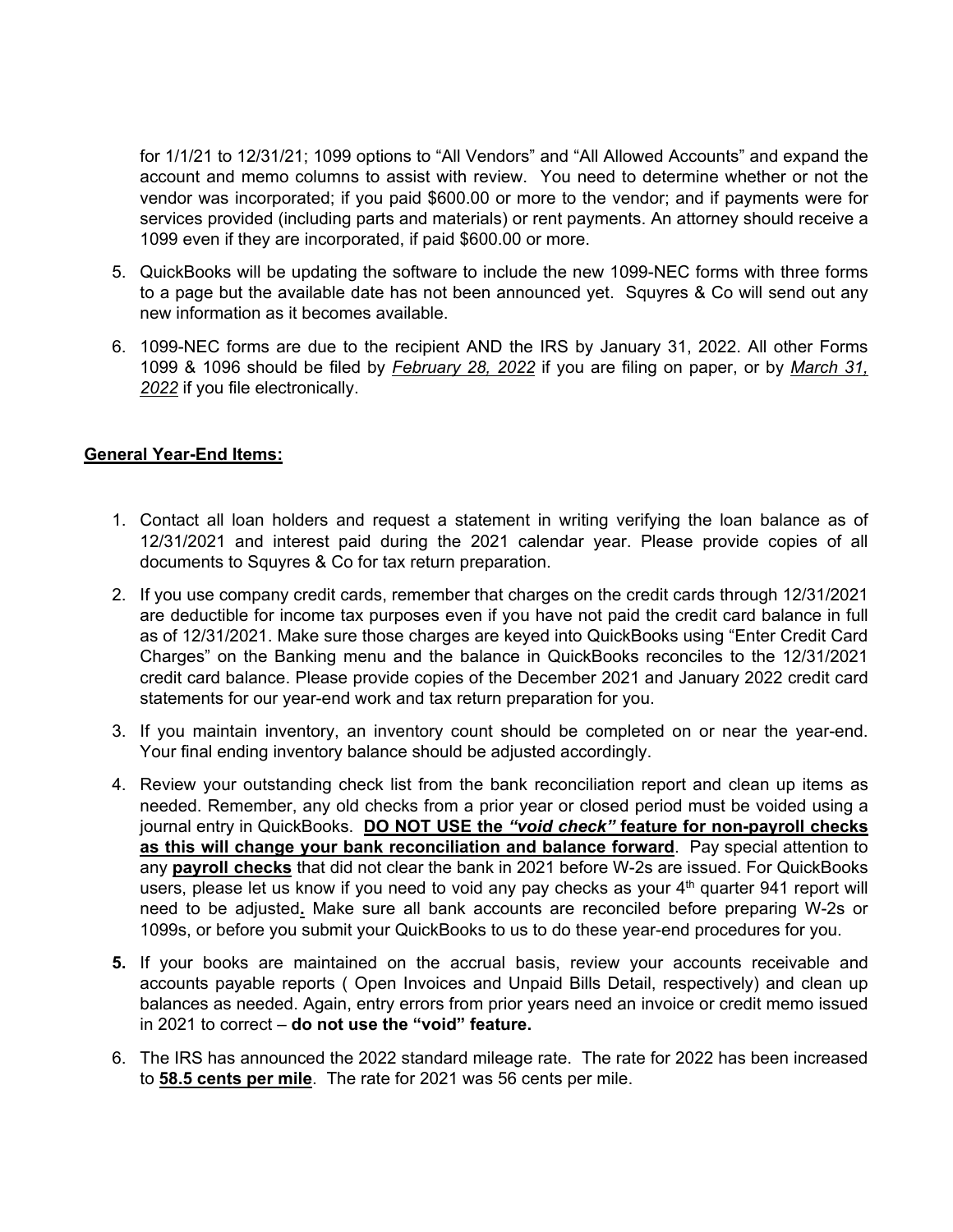for 1/1/21 to 12/31/21; 1099 options to "All Vendors" and "All Allowed Accounts" and expand the account and memo columns to assist with review. You need to determine whether or not the vendor was incorporated; if you paid \$600.00 or more to the vendor; and if payments were for services provided (including parts and materials) or rent payments. An attorney should receive a 1099 even if they are incorporated, if paid \$600.00 or more.

- 5. QuickBooks will be updating the software to include the new 1099-NEC forms with three forms to a page but the available date has not been announced yet. Squyres & Co will send out any new information as it becomes available.
- 6. 1099-NEC forms are due to the recipient AND the IRS by January 31, 2022. All other Forms 1099 & 1096 should be filed by *February 28, 2022* if you are filing on paper, or by *March 31, 2022* if you file electronically.

## **General Year-End Items:**

- 1. Contact all loan holders and request a statement in writing verifying the loan balance as of 12/31/2021 and interest paid during the 2021 calendar year. Please provide copies of all documents to Squyres & Co for tax return preparation.
- 2. If you use company credit cards, remember that charges on the credit cards through 12/31/2021 are deductible for income tax purposes even if you have not paid the credit card balance in full as of 12/31/2021. Make sure those charges are keyed into QuickBooks using "Enter Credit Card Charges" on the Banking menu and the balance in QuickBooks reconciles to the 12/31/2021 credit card balance. Please provide copies of the December 2021 and January 2022 credit card statements for our year-end work and tax return preparation for you.
- 3. If you maintain inventory, an inventory count should be completed on or near the year-end. Your final ending inventory balance should be adjusted accordingly.
- 4. Review your outstanding check list from the bank reconciliation report and clean up items as needed. Remember, any old checks from a prior year or closed period must be voided using a journal entry in QuickBooks. **DO NOT USE the** *"void check"* **feature for non-payroll checks as this will change your bank reconciliation and balance forward**. Pay special attention to any **payroll checks** that did not clear the bank in 2021 before W-2s are issued. For QuickBooks users, please let us know if you need to void any pay checks as your  $4<sup>th</sup>$  quarter 941 report will need to be adjusted**.** Make sure all bank accounts are reconciled before preparing W-2s or 1099s, or before you submit your QuickBooks to us to do these year-end procedures for you.
- **5.** If your books are maintained on the accrual basis, review your accounts receivable and accounts payable reports ( Open Invoices and Unpaid Bills Detail, respectively) and clean up balances as needed. Again, entry errors from prior years need an invoice or credit memo issued in 2021 to correct – **do not use the "void" feature.**
- 6. The IRS has announced the 2022 standard mileage rate. The rate for 2022 has been increased to **58.5 cents per mile**. The rate for 2021 was 56 cents per mile.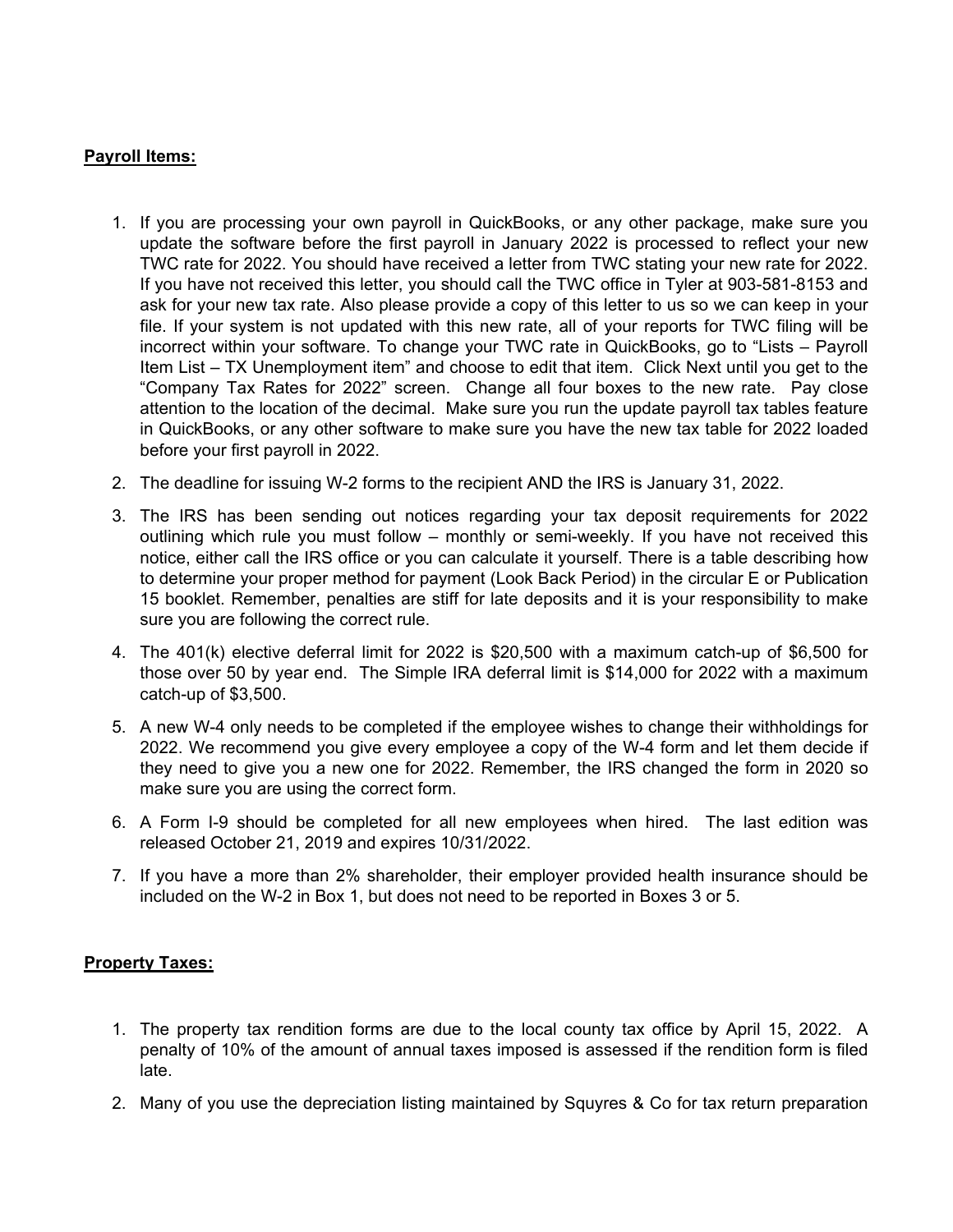## **Payroll Items:**

- 1. If you are processing your own payroll in QuickBooks, or any other package, make sure you update the software before the first payroll in January 2022 is processed to reflect your new TWC rate for 2022. You should have received a letter from TWC stating your new rate for 2022. If you have not received this letter, you should call the TWC office in Tyler at 903-581-8153 and ask for your new tax rate. Also please provide a copy of this letter to us so we can keep in your file. If your system is not updated with this new rate, all of your reports for TWC filing will be incorrect within your software. To change your TWC rate in QuickBooks, go to "Lists – Payroll Item List – TX Unemployment item" and choose to edit that item. Click Next until you get to the "Company Tax Rates for 2022" screen. Change all four boxes to the new rate. Pay close attention to the location of the decimal. Make sure you run the update payroll tax tables feature in QuickBooks, or any other software to make sure you have the new tax table for 2022 loaded before your first payroll in 2022.
- 2. The deadline for issuing W-2 forms to the recipient AND the IRS is January 31, 2022.
- 3. The IRS has been sending out notices regarding your tax deposit requirements for 2022 outlining which rule you must follow – monthly or semi-weekly. If you have not received this notice, either call the IRS office or you can calculate it yourself. There is a table describing how to determine your proper method for payment (Look Back Period) in the circular E or Publication 15 booklet. Remember, penalties are stiff for late deposits and it is your responsibility to make sure you are following the correct rule.
- 4. The 401(k) elective deferral limit for 2022 is \$20,500 with a maximum catch-up of \$6,500 for those over 50 by year end. The Simple IRA deferral limit is \$14,000 for 2022 with a maximum catch-up of \$3,500.
- 5. A new W-4 only needs to be completed if the employee wishes to change their withholdings for 2022. We recommend you give every employee a copy of the W-4 form and let them decide if they need to give you a new one for 2022. Remember, the IRS changed the form in 2020 so make sure you are using the correct form.
- 6. A Form I-9 should be completed for all new employees when hired. The last edition was released October 21, 2019 and expires 10/31/2022.
- 7. If you have a more than 2% shareholder, their employer provided health insurance should be included on the W-2 in Box 1, but does not need to be reported in Boxes 3 or 5.

## **Property Taxes:**

- 1. The property tax rendition forms are due to the local county tax office by April 15, 2022. A penalty of 10% of the amount of annual taxes imposed is assessed if the rendition form is filed late.
- 2. Many of you use the depreciation listing maintained by Squyres & Co for tax return preparation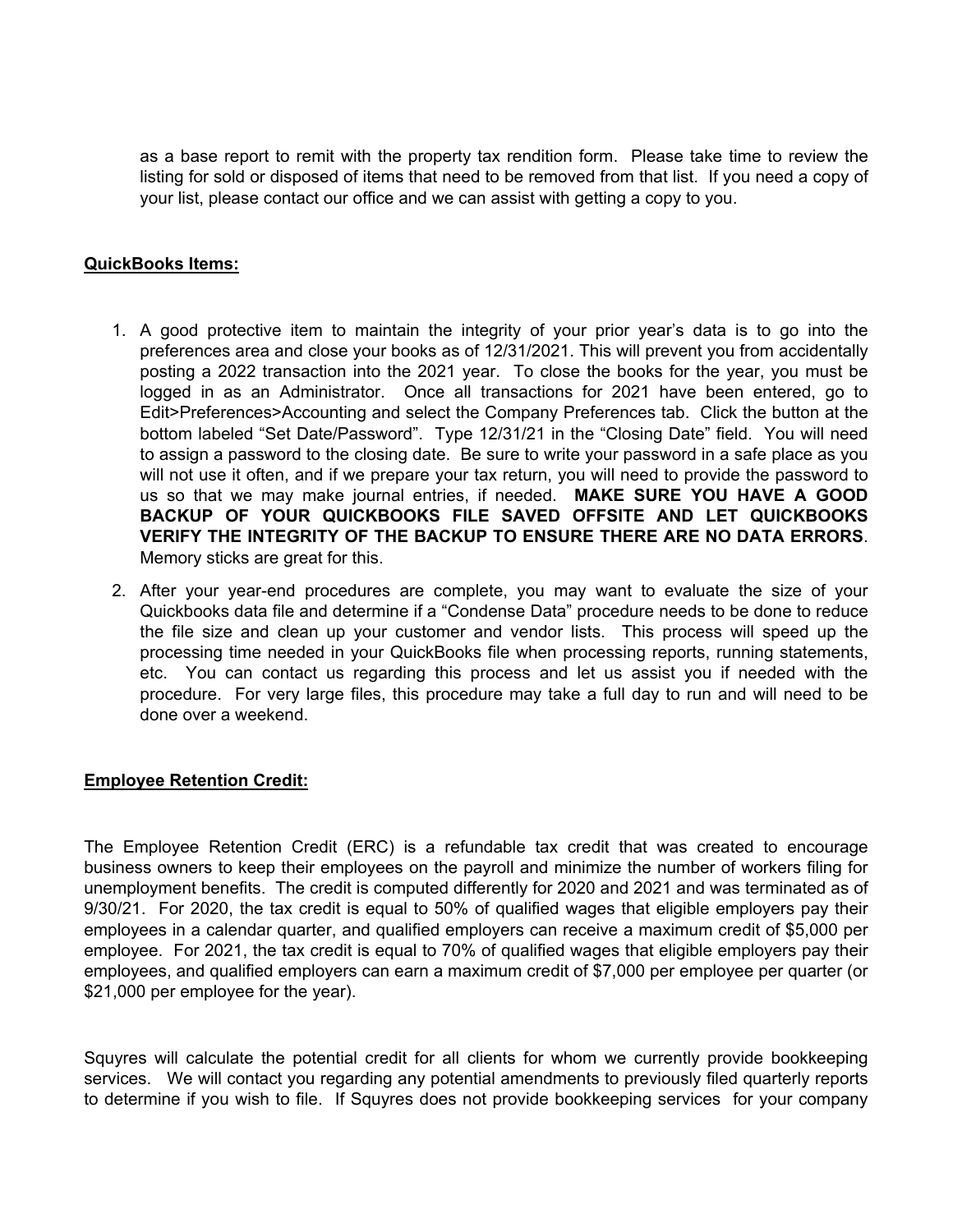as a base report to remit with the property tax rendition form. Please take time to review the listing for sold or disposed of items that need to be removed from that list. If you need a copy of your list, please contact our office and we can assist with getting a copy to you.

## **QuickBooks Items:**

- 1. A good protective item to maintain the integrity of your prior year's data is to go into the preferences area and close your books as of 12/31/2021. This will prevent you from accidentally posting a 2022 transaction into the 2021 year. To close the books for the year, you must be logged in as an Administrator. Once all transactions for 2021 have been entered, go to Edit>Preferences>Accounting and select the Company Preferences tab. Click the button at the bottom labeled "Set Date/Password". Type 12/31/21 in the "Closing Date" field. You will need to assign a password to the closing date. Be sure to write your password in a safe place as you will not use it often, and if we prepare your tax return, you will need to provide the password to us so that we may make journal entries, if needed. **MAKE SURE YOU HAVE A GOOD BACKUP OF YOUR QUICKBOOKS FILE SAVED OFFSITE AND LET QUICKBOOKS VERIFY THE INTEGRITY OF THE BACKUP TO ENSURE THERE ARE NO DATA ERRORS**. Memory sticks are great for this.
- 2. After your year-end procedures are complete, you may want to evaluate the size of your Quickbooks data file and determine if a "Condense Data" procedure needs to be done to reduce the file size and clean up your customer and vendor lists. This process will speed up the processing time needed in your QuickBooks file when processing reports, running statements, etc. You can contact us regarding this process and let us assist you if needed with the procedure. For very large files, this procedure may take a full day to run and will need to be done over a weekend.

## **Employee Retention Credit:**

The Employee Retention Credit (ERC) is a refundable tax credit that was created to encourage business owners to keep their employees on the payroll and minimize the number of workers filing for unemployment benefits. The credit is computed differently for 2020 and 2021 and was terminated as of 9/30/21. For 2020, the tax credit is equal to 50% of qualified wages that eligible employers pay their employees in a calendar quarter, and qualified employers can receive a maximum credit of \$5,000 per employee. For 2021, the tax credit is equal to 70% of qualified wages that eligible employers pay their employees, and qualified employers can earn a maximum credit of \$7,000 per employee per quarter (or \$21,000 per employee for the year).

Squyres will calculate the potential credit for all clients for whom we currently provide bookkeeping services. We will contact you regarding any potential amendments to previously filed quarterly reports to determine if you wish to file. If Squyres does not provide bookkeeping services for your company